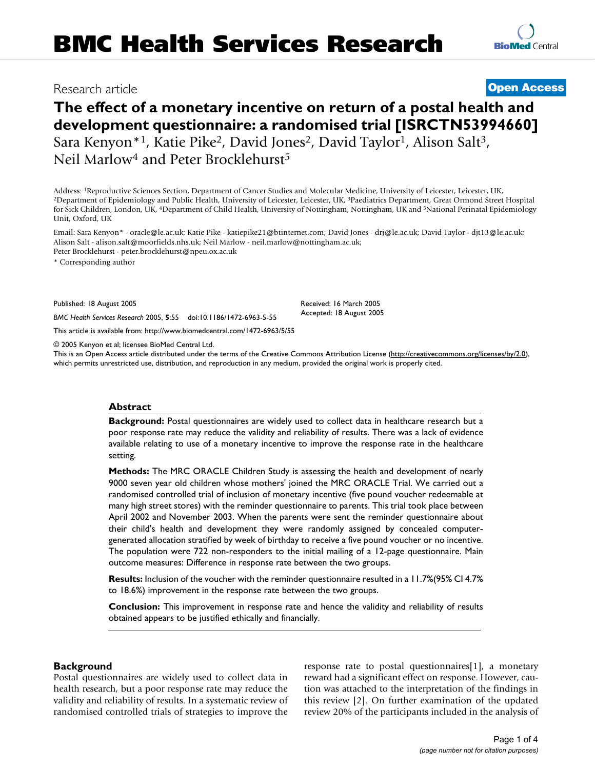# Research article **[Open Access](http://www.biomedcentral.com/info/about/charter/)**

**[BioMed](http://www.biomedcentral.com/)** Central

# **The effect of a monetary incentive on return of a postal health and development questionnaire: a randomised trial [ISRCTN53994660]** Sara Kenyon\*<sup>1</sup>, Katie Pike<sup>2</sup>, David Jones<sup>2</sup>, David Taylor<sup>1</sup>, Alison Salt<sup>3</sup>, Neil Marlow<sup>4</sup> and Peter Brocklehurst<sup>5</sup>

Address: <sup>1</sup>Reproductive Sciences Section, Department of Cancer Studies and Molecular Medicine, University of Leicester, Leicester, UK, <sup>2</sup>Department of Epidemiology and Public Health, University of Leicester, Leicester, L for Sick Children, London, UK, 4Department of Child Health, University of Nottingham, Nottingham, UK and 5National Perinatal Epidemiology Unit, Oxford, UK

Email: Sara Kenyon\* - oracle@le.ac.uk; Katie Pike - katiepike21@btinternet.com; David Jones - drj@le.ac.uk; David Taylor - djt13@le.ac.uk; Alison Salt - alison.salt@moorfields.nhs.uk; Neil Marlow - neil.marlow@nottingham.ac.uk; Peter Brocklehurst - peter.brocklehurst@npeu.ox.ac.uk

\* Corresponding author

Published: 18 August 2005

*BMC Health Services Research* 2005, **5**:55 doi:10.1186/1472-6963-5-55

[This article is available from: http://www.biomedcentral.com/1472-6963/5/55](http://www.biomedcentral.com/1472-6963/5/55)

© 2005 Kenyon et al; licensee BioMed Central Ltd.

This is an Open Access article distributed under the terms of the Creative Commons Attribution License [\(http://creativecommons.org/licenses/by/2.0\)](http://creativecommons.org/licenses/by/2.0), which permits unrestricted use, distribution, and reproduction in any medium, provided the original work is properly cited.

Received: 16 March 2005 Accepted: 18 August 2005

#### **Abstract**

**Background:** Postal questionnaires are widely used to collect data in healthcare research but a poor response rate may reduce the validity and reliability of results. There was a lack of evidence available relating to use of a monetary incentive to improve the response rate in the healthcare setting.

**Methods:** The MRC ORACLE Children Study is assessing the health and development of nearly 9000 seven year old children whose mothers' joined the MRC ORACLE Trial. We carried out a randomised controlled trial of inclusion of monetary incentive (five pound voucher redeemable at many high street stores) with the reminder questionnaire to parents. This trial took place between April 2002 and November 2003. When the parents were sent the reminder questionnaire about their child's health and development they were randomly assigned by concealed computergenerated allocation stratified by week of birthday to receive a five pound voucher or no incentive. The population were 722 non-responders to the initial mailing of a 12-page questionnaire. Main outcome measures: Difference in response rate between the two groups.

**Results:** Inclusion of the voucher with the reminder questionnaire resulted in a 11.7%(95% CI 4.7% to 18.6%) improvement in the response rate between the two groups.

**Conclusion:** This improvement in response rate and hence the validity and reliability of results obtained appears to be justified ethically and financially.

#### **Background**

Postal questionnaires are widely used to collect data in health research, but a poor response rate may reduce the validity and reliability of results. In a systematic review of randomised controlled trials of strategies to improve the response rate to postal questionnaires[1], a monetary reward had a significant effect on response. However, caution was attached to the interpretation of the findings in this review [2]. On further examination of the updated review 20% of the participants included in the analysis of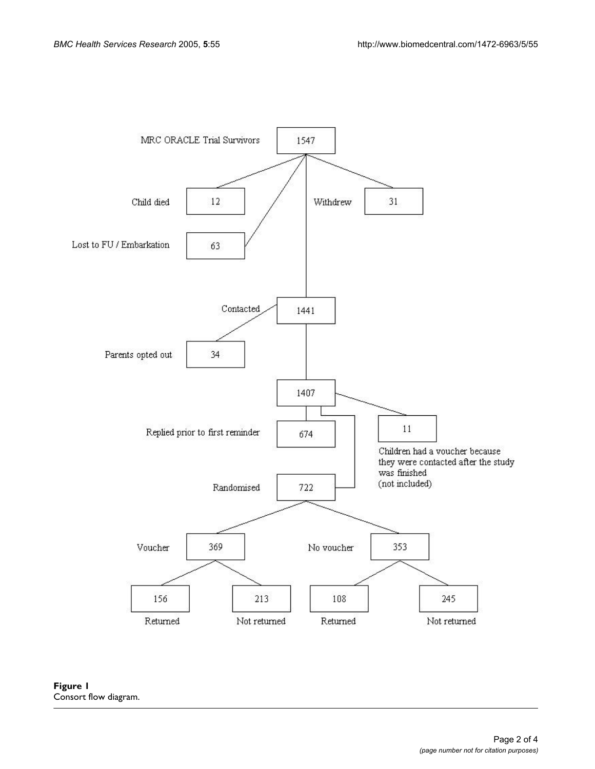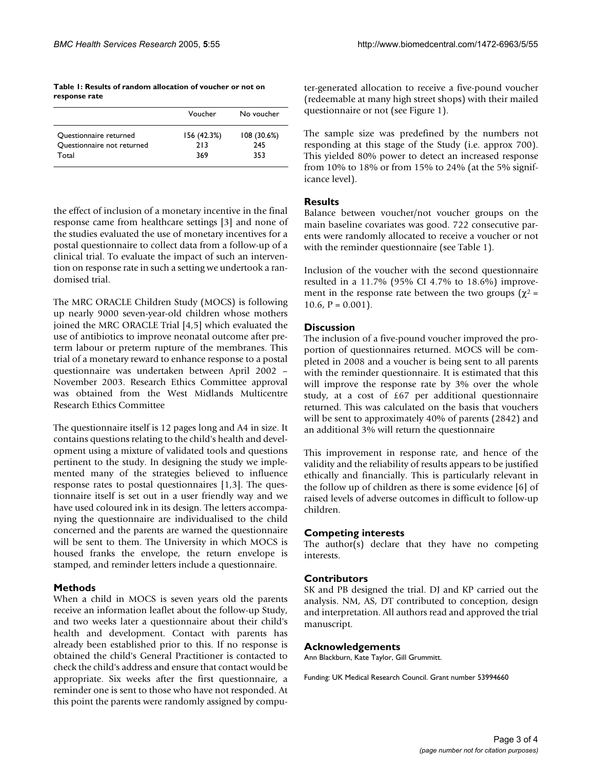**Table 1: Results of random allocation of voucher or not on response rate**

|                            | Voucher     | No voucher |
|----------------------------|-------------|------------|
| Questionnaire returned     | 156 (42.3%) | 108(30.6%) |
| Questionnaire not returned | 213         | 245        |
| Total                      | 369         | 353        |

the effect of inclusion of a monetary incentive in the final response came from healthcare settings [3] and none of the studies evaluated the use of monetary incentives for a postal questionnaire to collect data from a follow-up of a clinical trial. To evaluate the impact of such an intervention on response rate in such a setting we undertook a randomised trial.

The MRC ORACLE Children Study (MOCS) is following up nearly 9000 seven-year-old children whose mothers joined the MRC ORACLE Trial [4,5] which evaluated the use of antibiotics to improve neonatal outcome after preterm labour or preterm rupture of the membranes. This trial of a monetary reward to enhance response to a postal questionnaire was undertaken between April 2002 – November 2003. Research Ethics Committee approval was obtained from the West Midlands Multicentre Research Ethics Committee

The questionnaire itself is 12 pages long and A4 in size. It contains questions relating to the child's health and development using a mixture of validated tools and questions pertinent to the study. In designing the study we implemented many of the strategies believed to influence response rates to postal questionnaires [1,3]. The questionnaire itself is set out in a user friendly way and we have used coloured ink in its design. The letters accompanying the questionnaire are individualised to the child concerned and the parents are warned the questionnaire will be sent to them. The University in which MOCS is housed franks the envelope, the return envelope is stamped, and reminder letters include a questionnaire.

#### **Methods**

When a child in MOCS is seven years old the parents receive an information leaflet about the follow-up Study, and two weeks later a questionnaire about their child's health and development. Contact with parents has already been established prior to this. If no response is obtained the child's General Practitioner is contacted to check the child's address and ensure that contact would be appropriate. Six weeks after the first questionnaire, a reminder one is sent to those who have not responded. At this point the parents were randomly assigned by computer-generated allocation to receive a five-pound voucher (redeemable at many high street shops) with their mailed questionnaire or not (see Figure 1).

The sample size was predefined by the numbers not responding at this stage of the Study (i.e. approx 700). This yielded 80% power to detect an increased response from 10% to 18% or from 15% to 24% (at the 5% significance level).

# **Results**

Balance between voucher/not voucher groups on the main baseline covariates was good. 722 consecutive parents were randomly allocated to receive a voucher or not with the reminder questionnaire (see Table 1).

Inclusion of the voucher with the second questionnaire resulted in a 11.7% (95% CI 4.7% to 18.6%) improvement in the response rate between the two groups ( $\chi^2$  = 10.6,  $P = 0.001$ .

# **Discussion**

The inclusion of a five-pound voucher improved the proportion of questionnaires returned. MOCS will be completed in 2008 and a voucher is being sent to all parents with the reminder questionnaire. It is estimated that this will improve the response rate by 3% over the whole study, at a cost of £67 per additional questionnaire returned. This was calculated on the basis that vouchers will be sent to approximately 40% of parents (2842) and an additional 3% will return the questionnaire

This improvement in response rate, and hence of the validity and the reliability of results appears to be justified ethically and financially. This is particularly relevant in the follow up of children as there is some evidence [6] of raised levels of adverse outcomes in difficult to follow-up children.

# **Competing interests**

The author(s) declare that they have no competing interests.

# **Contributors**

SK and PB designed the trial. DJ and KP carried out the analysis. NM, AS, DT contributed to conception, design and interpretation. All authors read and approved the trial manuscript.

# **Acknowledgements**

Ann Blackburn, Kate Taylor, Gill Grummitt.

Funding: UK Medical Research Council. Grant number 53994660